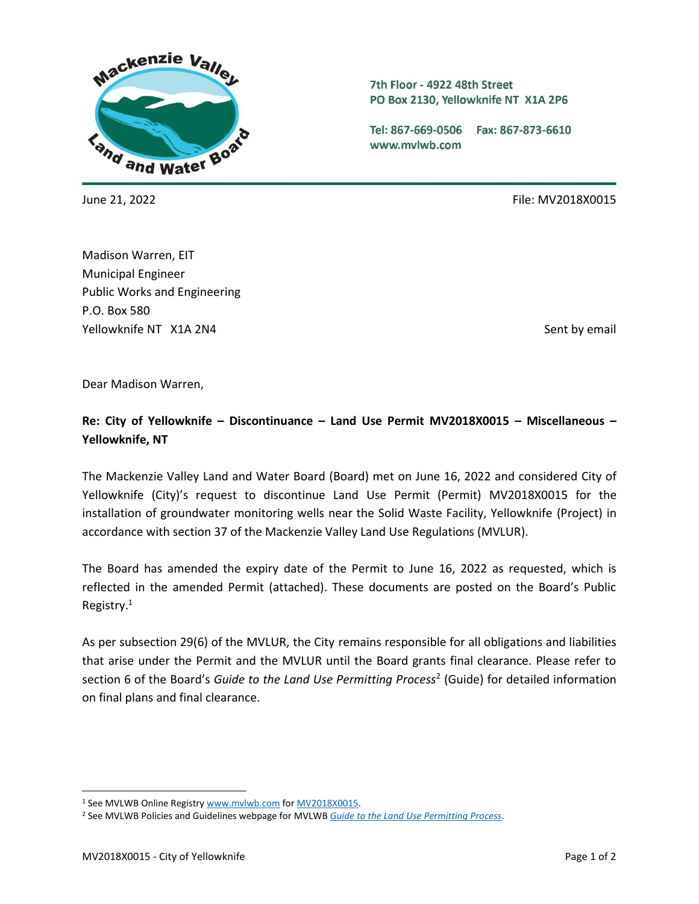

7th Floor - 4922 48th Street PO Box 2130, Yellowknife NT X1A 2P6

Tel: 867-669-0506 Fax: 867-873-6610 www.mvlwb.com

June 21, 2022 File: MV2018X0015

Madison Warren, EIT Municipal Engineer Public Works and Engineering P.O. Box 580 Yellowknife NT X1A 2N4 Sent by email and the sent by email sent by email sent by email

Dear Madison Warren,

## **Re: City of Yellowknife – Discontinuance – Land Use Permit MV2018X0015 – Miscellaneous – Yellowknife, NT**

The Mackenzie Valley Land and Water Board (Board) met on June 16, 2022 and considered City of Yellowknife (City)'s request to discontinue Land Use Permit (Permit) MV2018X0015 for the installation of groundwater monitoring wells near the Solid Waste Facility, Yellowknife (Project) in accordance with section 37 of the Mackenzie Valley Land Use Regulations (MVLUR).

The Board has amended the expiry date of the Permit to June 16, 2022 as requested, which is reflected in the amended Permit (attached). These documents are posted on the Board's Public Registry.<sup>1</sup>

As per subsection 29(6) of the MVLUR, the City remains responsible for all obligations and liabilities that arise under the Permit and the MVLUR until the Board grants final clearance. Please refer to section 6 of the Board's *Guide to the Land Use Permitting Process*<sup>2</sup> (Guide) for detailed information on final plans and final clearance.

<sup>1</sup> See MVLWB Online Registr[y www.mvlwb.com](http://www.mvlwb.com/) fo[r MV2018X0015.](https://mvlwb.com/registry/MV2018X0015)

<sup>2</sup> See MVLWB Policies and Guidelines webpage for MVLWB *[Guide to the Land Use Permitting Process](https://mvlwb.com/sites/default/files/2021-08/LWB%20Guide%20to%20the%20Land%20Use%20Permitting%20Process%20-%20FINAL%20-%20Aug%2030_21.pdf)*.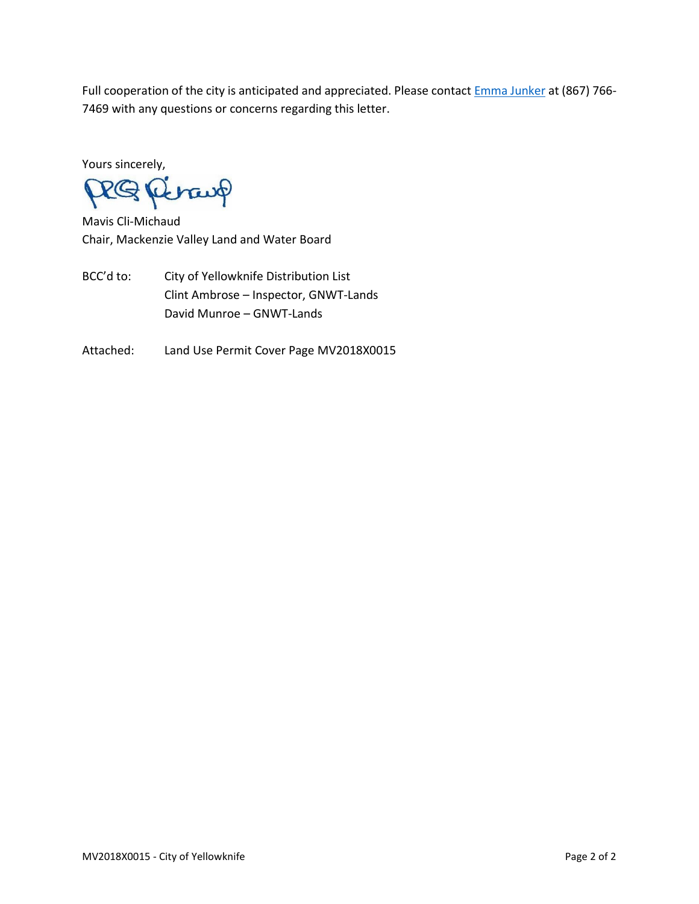Full cooperation of the city is anticipated and appreciated. Please contact **Emma Junker** at (867) 766-7469 with any questions or concerns regarding this letter.

Yours sincerely,

RQ Revaup

Mavis Cli-Michaud Chair, Mackenzie Valley Land and Water Board

BCC'd to: City of Yellowknife Distribution List Clint Ambrose – Inspector, GNWT-Lands David Munroe – GNWT-Lands

Attached: Land Use Permit Cover Page MV2018X0015